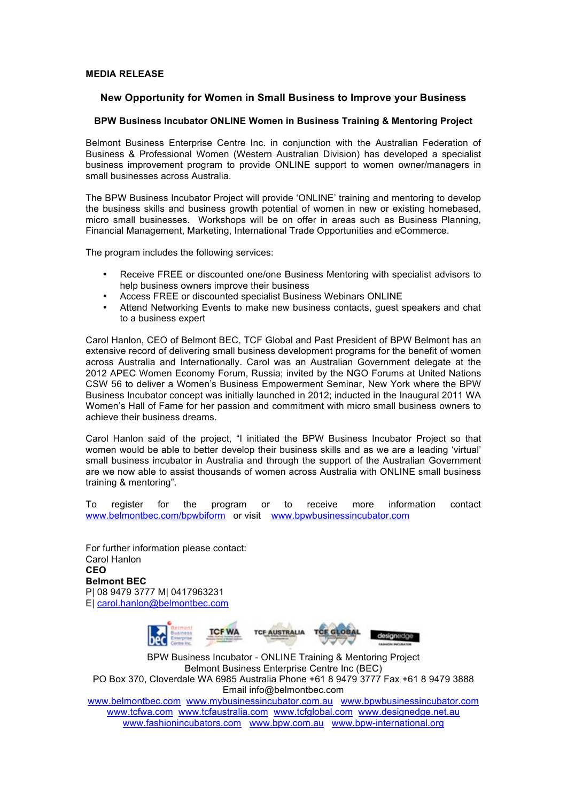## **MEDIA RELEASE**

## **New Opportunity for Women in Small Business to Improve your Business**

## **BPW Business Incubator ONLINE Women in Business Training & Mentoring Project**

Belmont Business Enterprise Centre Inc. in conjunction with the Australian Federation of Business & Professional Women (Western Australian Division) has developed a specialist business improvement program to provide ONLINE support to women owner/managers in small businesses across Australia.

The BPW Business Incubator Project will provide 'ONLINE' training and mentoring to develop the business skills and business growth potential of women in new or existing homebased, micro small businesses. Workshops will be on offer in areas such as Business Planning, Financial Management, Marketing, International Trade Opportunities and eCommerce.

The program includes the following services:

- Receive FREE or discounted one/one Business Mentoring with specialist advisors to help business owners improve their business
- Access FREE or discounted specialist Business Webinars ONLINE
- Attend Networking Events to make new business contacts, guest speakers and chat to a business expert

Carol Hanlon, CEO of Belmont BEC, TCF Global and Past President of BPW Belmont has an extensive record of delivering small business development programs for the benefit of women across Australia and Internationally. Carol was an Australian Government delegate at the 2012 APEC Women Economy Forum, Russia; invited by the NGO Forums at United Nations CSW 56 to deliver a Women's Business Empowerment Seminar, New York where the BPW Business Incubator concept was initially launched in 2012; inducted in the Inaugural 2011 WA Women's Hall of Fame for her passion and commitment with micro small business owners to achieve their business dreams.

Carol Hanlon said of the project, "I initiated the BPW Business Incubator Project so that women would be able to better develop their business skills and as we are a leading 'virtual' small business incubator in Australia and through the support of the Australian Government are we now able to assist thousands of women across Australia with ONLINE small business training & mentoring".

To register for the program or to receive more information contact www.belmontbec.com/bpwbiform or visit www.bpwbusinessincubator.com

For further information please contact: Carol Hanlon **CEO Belmont BEC** P| 08 9479 3777 M| 0417963231 E| carol.hanlon@belmontbec.com



BPW Business Incubator - ONLINE Training & Mentoring Project Belmont Business Enterprise Centre Inc (BEC) PO Box 370, Cloverdale WA 6985 Australia Phone +61 8 9479 3777 Fax +61 8 9479 3888 Email info@belmontbec.com www.belmontbec.com www.mybusinessincubator.com.au www.bpwbusinessincubator.com www.tcfwa.com www.tcfaustralia.com www.tcfglobal.com www.designedge.net.au www.fashionincubators.com www.bpw.com.au www.bpw-international.org